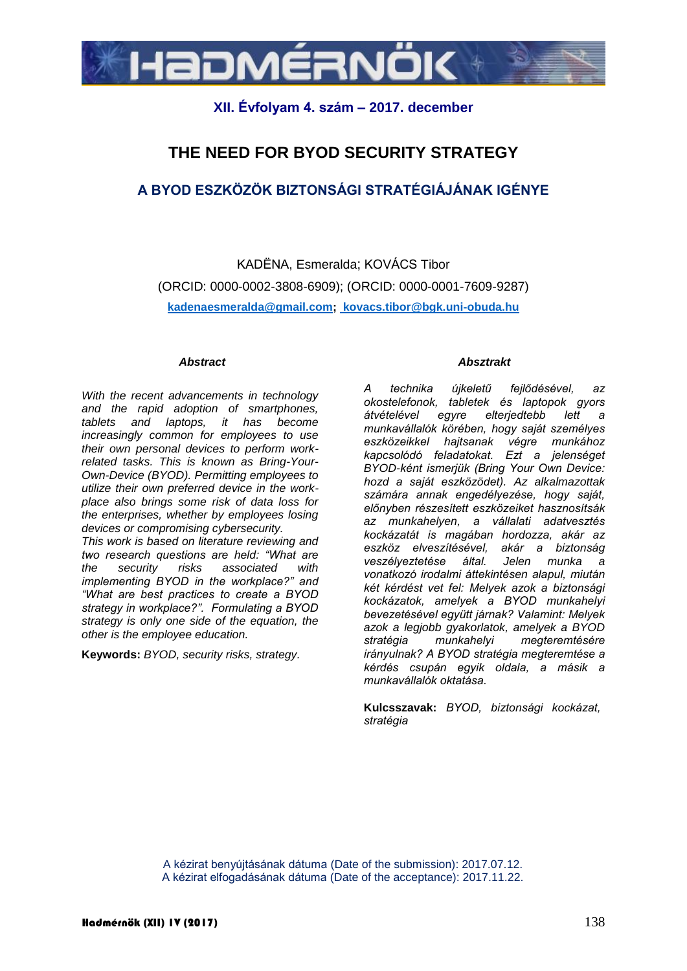

# **XII. Évfolyam 4. szám – 2017. december**

# **THE NEED FOR BYOD SECURITY STRATEGY**

# **A BYOD ESZKÖZÖK BIZTONSÁGI STRATÉGIÁJÁNAK IGÉNYE**

KADËNA, Esmeralda; KOVÁCS Tibor (ORCID: 0000-0002-3808-6909); (ORCID: 0000-0001-7609-9287) **kadenaesmeralda@gmail.com; kovacs.tibor@bgk.uni-obuda.hu**

#### *Abstract*

*With the recent advancements in technology and the rapid adoption of smartphones, tablets and laptops, it has become increasingly common for employees to use their own personal devices to perform workrelated tasks. This is known as Bring-Your-Own-Device (BYOD). Permitting employees to utilize their own preferred device in the workplace also brings some risk of data loss for the enterprises, whether by employees losing devices or compromising cybersecurity.*

*This work is based on literature reviewing and two research questions are held: "What are the security risks associated with implementing BYOD in the workplace?" and "What are best practices to create a BYOD strategy in workplace?". Formulating a BYOD strategy is only one side of the equation, the other is the employee education.*

**Keywords:** *BYOD, security risks, strategy.*

#### *Absztrakt*

*A technika újkeletű fejlődésével, az okostelefonok, tabletek és laptopok gyors átvételével egyre elterjedtebb lett a munkavállalók körében, hogy saját személyes eszközeikkel hajtsanak végre munkához kapcsolódó feladatokat. Ezt a jelenséget BYOD-ként ismerjük (Bring Your Own Device: hozd a saját eszközödet). Az alkalmazottak számára annak engedélyezése, hogy saját, előnyben részesített eszközeiket hasznosítsák az munkahelyen, a vállalati adatvesztés kockázatát is magában hordozza, akár az eszköz elveszítésével, akár a biztonság veszélyeztetése által. Jelen munka a vonatkozó irodalmi áttekintésen alapul, miután két kérdést vet fel: Melyek azok a biztonsági kockázatok, amelyek a BYOD munkahelyi bevezetésével együtt járnak? Valamint: Melyek azok a legjobb gyakorlatok, amelyek a BYOD stratégia munkahelyi megteremtésére irányulnak? A BYOD stratégia megteremtése a kérdés csupán egyik oldala, a másik a munkavállalók oktatása.*

**Kulcsszavak:** *BYOD, biztonsági kockázat, stratégia*

A kézirat benyújtásának dátuma (Date of the submission): 2017.07.12. A kézirat elfogadásának dátuma (Date of the acceptance): 2017.11.22.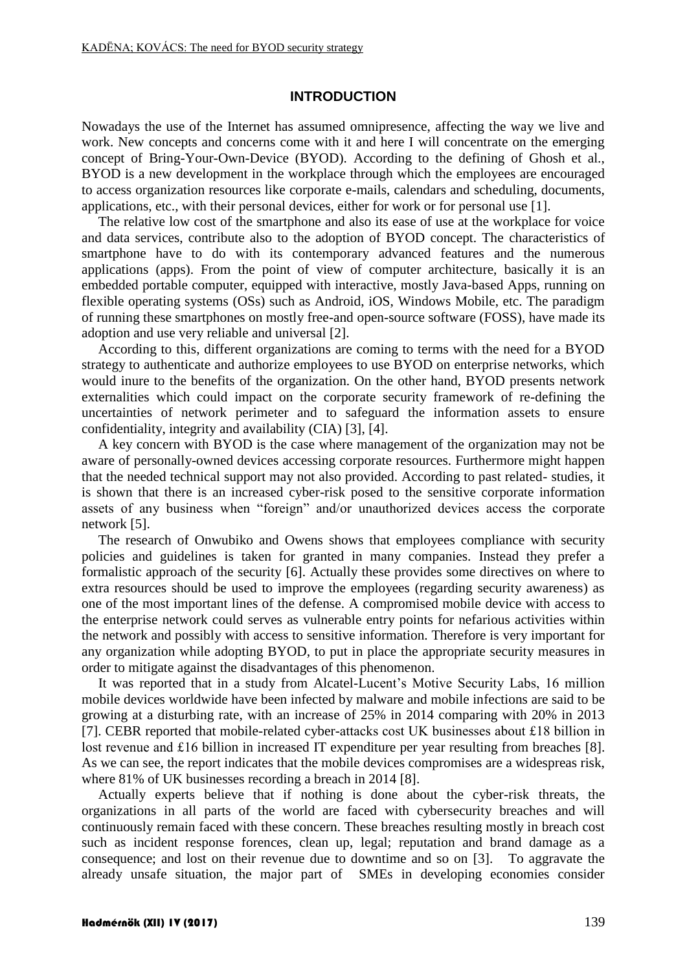# **INTRODUCTION**

Nowadays the use of the Internet has assumed omnipresence, affecting the way we live and work. New concepts and concerns come with it and here I will concentrate on the emerging concept of Bring-Your-Own-Device (BYOD). According to the defining of Ghosh et al., BYOD is a new development in the workplace through which the employees are encouraged to access organization resources like corporate e-mails, calendars and scheduling, documents, applications, etc., with their personal devices, either for work or for personal use [1].

The relative low cost of the smartphone and also its ease of use at the workplace for voice and data services, contribute also to the adoption of BYOD concept. The characteristics of smartphone have to do with its contemporary advanced features and the numerous applications (apps). From the point of view of computer architecture, basically it is an embedded portable computer, equipped with interactive, mostly Java-based Apps, running on flexible operating systems (OSs) such as Android, iOS, Windows Mobile, etc. The paradigm of running these smartphones on mostly free-and open-source software (FOSS), have made its adoption and use very reliable and universal [2].

According to this, different organizations are coming to terms with the need for a BYOD strategy to authenticate and authorize employees to use BYOD on enterprise networks, which would inure to the benefits of the organization. On the other hand, BYOD presents network externalities which could impact on the corporate security framework of re-defining the uncertainties of network perimeter and to safeguard the information assets to ensure confidentiality, integrity and availability (CIA) [3], [4].

A key concern with BYOD is the case where management of the organization may not be aware of personally-owned devices accessing corporate resources. Furthermore might happen that the needed technical support may not also provided. According to past related- studies, it is shown that there is an increased cyber-risk posed to the sensitive corporate information assets of any business when "foreign" and/or unauthorized devices access the corporate network [5].

The research of Onwubiko and Owens shows that employees compliance with security policies and guidelines is taken for granted in many companies. Instead they prefer a formalistic approach of the security [6]. Actually these provides some directives on where to extra resources should be used to improve the employees (regarding security awareness) as one of the most important lines of the defense. A compromised mobile device with access to the enterprise network could serves as vulnerable entry points for nefarious activities within the network and possibly with access to sensitive information. Therefore is very important for any organization while adopting BYOD, to put in place the appropriate security measures in order to mitigate against the disadvantages of this phenomenon.

It was reported that in a study from Alcatel-Lucent's Motive Security Labs, 16 million mobile devices worldwide have been infected by malware and mobile infections are said to be growing at a disturbing rate, with an increase of 25% in 2014 comparing with 20% in 2013 [7]. CEBR reported that mobile-related cyber-attacks cost UK businesses about £18 billion in lost revenue and £16 billion in increased IT expenditure per year resulting from breaches [8]. As we can see, the report indicates that the mobile devices compromises are a widespreas risk, where 81% of UK businesses recording a breach in 2014 [8].

Actually experts believe that if nothing is done about the cyber-risk threats, the organizations in all parts of the world are faced with cybersecurity breaches and will continuously remain faced with these concern. These breaches resulting mostly in breach cost such as incident response forences, clean up, legal; reputation and brand damage as a consequence; and lost on their revenue due to downtime and so on [3]. To aggravate the already unsafe situation, the major part of SMEs in developing economies consider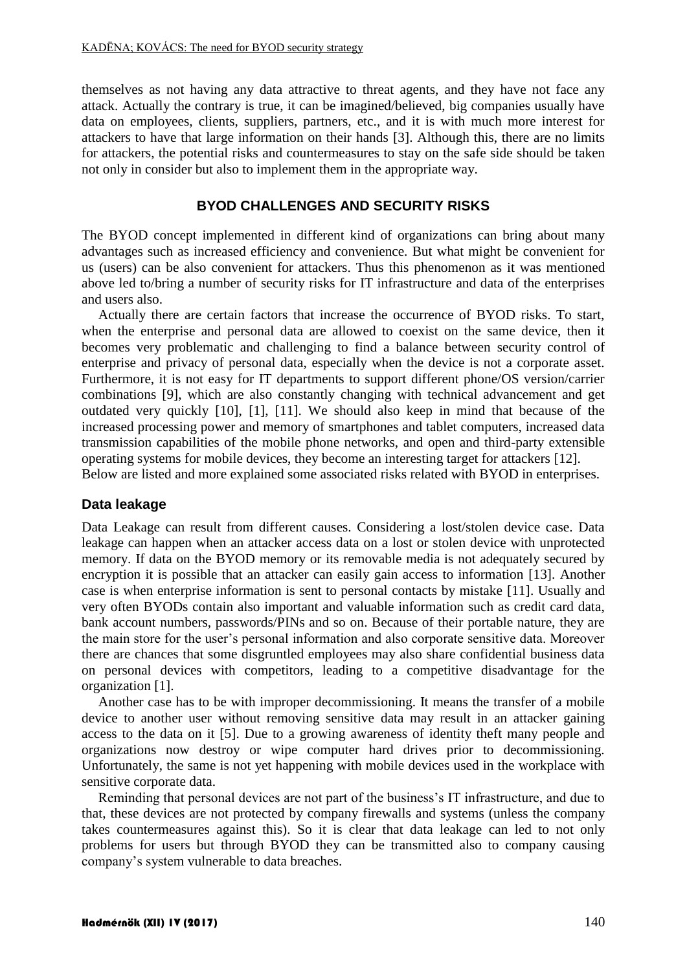themselves as not having any data attractive to threat agents, and they have not face any attack. Actually the contrary is true, it can be imagined/believed, big companies usually have data on employees, clients, suppliers, partners, etc., and it is with much more interest for attackers to have that large information on their hands [3]. Although this, there are no limits for attackers, the potential risks and countermeasures to stay on the safe side should be taken not only in consider but also to implement them in the appropriate way.

# **BYOD CHALLENGES AND SECURITY RISKS**

The BYOD concept implemented in different kind of organizations can bring about many advantages such as increased efficiency and convenience. But what might be convenient for us (users) can be also convenient for attackers. Thus this phenomenon as it was mentioned above led to/bring a number of security risks for IT infrastructure and data of the enterprises and users also.

Actually there are certain factors that increase the occurrence of BYOD risks. To start, when the enterprise and personal data are allowed to coexist on the same device, then it becomes very problematic and challenging to find a balance between security control of enterprise and privacy of personal data, especially when the device is not a corporate asset. Furthermore, it is not easy for IT departments to support different phone/OS version/carrier combinations [9], which are also constantly changing with technical advancement and get outdated very quickly [10], [1], [11]. We should also keep in mind that because of the increased processing power and memory of smartphones and tablet computers, increased data transmission capabilities of the mobile phone networks, and open and third-party extensible operating systems for mobile devices, they become an interesting target for attackers [12]. Below are listed and more explained some associated risks related with BYOD in enterprises.

## **Data leakage**

Data Leakage can result from different causes. Considering a lost/stolen device case. Data leakage can happen when an attacker access data on a lost or stolen device with unprotected memory. If data on the BYOD memory or its removable media is not adequately secured by encryption it is possible that an attacker can easily gain access to information [13]. Another case is when enterprise information is sent to personal contacts by mistake [11]. Usually and very often BYODs contain also important and valuable information such as credit card data, bank account numbers, passwords/PINs and so on. Because of their portable nature, they are the main store for the user's personal information and also corporate sensitive data. Moreover there are chances that some disgruntled employees may also share confidential business data on personal devices with competitors, leading to a competitive disadvantage for the organization [1].

Another case has to be with improper decommissioning. It means the transfer of a mobile device to another user without removing sensitive data may result in an attacker gaining access to the data on it [5]. Due to a growing awareness of identity theft many people and organizations now destroy or wipe computer hard drives prior to decommissioning. Unfortunately, the same is not yet happening with mobile devices used in the workplace with sensitive corporate data.

Reminding that personal devices are not part of the business's IT infrastructure, and due to that, these devices are not protected by company firewalls and systems (unless the company takes countermeasures against this). So it is clear that data leakage can led to not only problems for users but through BYOD they can be transmitted also to company causing company's system vulnerable to data breaches.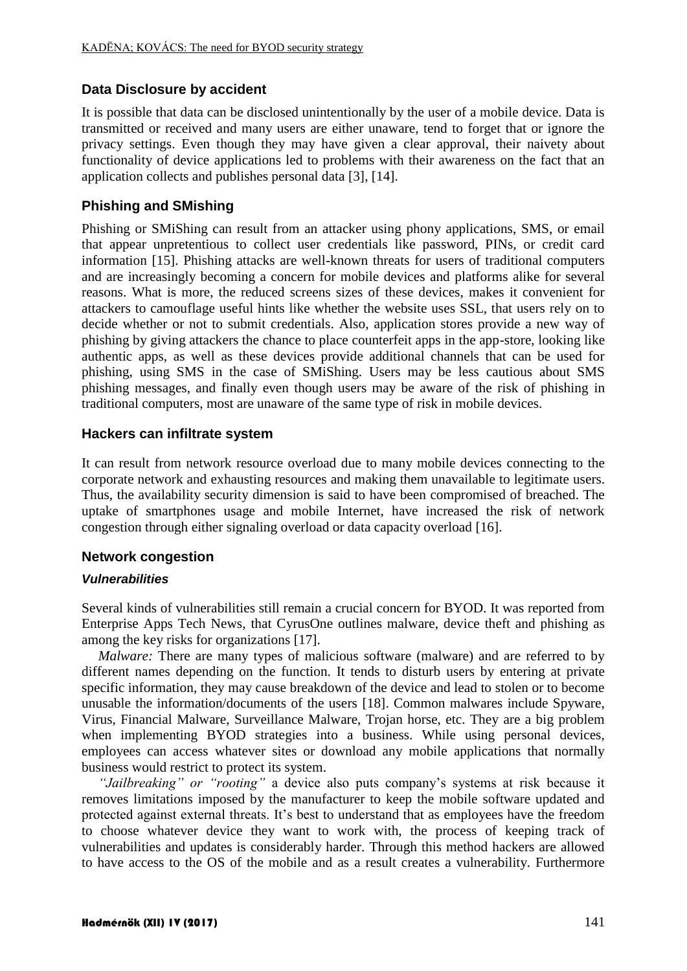# **Data Disclosure by accident**

It is possible that data can be disclosed unintentionally by the user of a mobile device. Data is transmitted or received and many users are either unaware, tend to forget that or ignore the privacy settings. Even though they may have given a clear approval, their naivety about functionality of device applications led to problems with their awareness on the fact that an application collects and publishes personal data [3], [14].

# **Phishing and SMishing**

Phishing or SMiShing can result from an attacker using phony applications, SMS, or email that appear unpretentious to collect user credentials like password, PINs, or credit card information [15]. Phishing attacks are well-known threats for users of traditional computers and are increasingly becoming a concern for mobile devices and platforms alike for several reasons. What is more, the reduced screens sizes of these devices, makes it convenient for attackers to camouflage useful hints like whether the website uses SSL, that users rely on to decide whether or not to submit credentials. Also, application stores provide a new way of phishing by giving attackers the chance to place counterfeit apps in the app-store, looking like authentic apps, as well as these devices provide additional channels that can be used for phishing, using SMS in the case of SMiShing. Users may be less cautious about SMS phishing messages, and finally even though users may be aware of the risk of phishing in traditional computers, most are unaware of the same type of risk in mobile devices.

# **Hackers can infiltrate system**

It can result from network resource overload due to many mobile devices connecting to the corporate network and exhausting resources and making them unavailable to legitimate users. Thus, the availability security dimension is said to have been compromised of breached. The uptake of smartphones usage and mobile Internet, have increased the risk of network congestion through either signaling overload or data capacity overload [16].

## **Network congestion**

## *Vulnerabilities*

Several kinds of vulnerabilities still remain a crucial concern for BYOD. It was reported from Enterprise Apps Tech News, that CyrusOne outlines malware, device theft and phishing as among the key risks for organizations [17].

*Malware:* There are many types of malicious software (malware) and are referred to by different names depending on the function. It tends to disturb users by entering at private specific information, they may cause breakdown of the device and lead to stolen or to become unusable the information/documents of the users [18]. Common malwares include Spyware, Virus, Financial Malware, Surveillance Malware, Trojan horse, etc. They are a big problem when implementing BYOD strategies into a business. While using personal devices, employees can access whatever sites or download any mobile applications that normally business would restrict to protect its system.

*"Jailbreaking" or "rooting"* a device also puts company's systems at risk because it removes limitations imposed by the manufacturer to keep the mobile software updated and protected against external threats. It's best to understand that as employees have the freedom to choose whatever device they want to work with, the process of keeping track of vulnerabilities and updates is considerably harder. Through this method hackers are allowed to have access to the OS of the mobile and as a result creates a vulnerability. Furthermore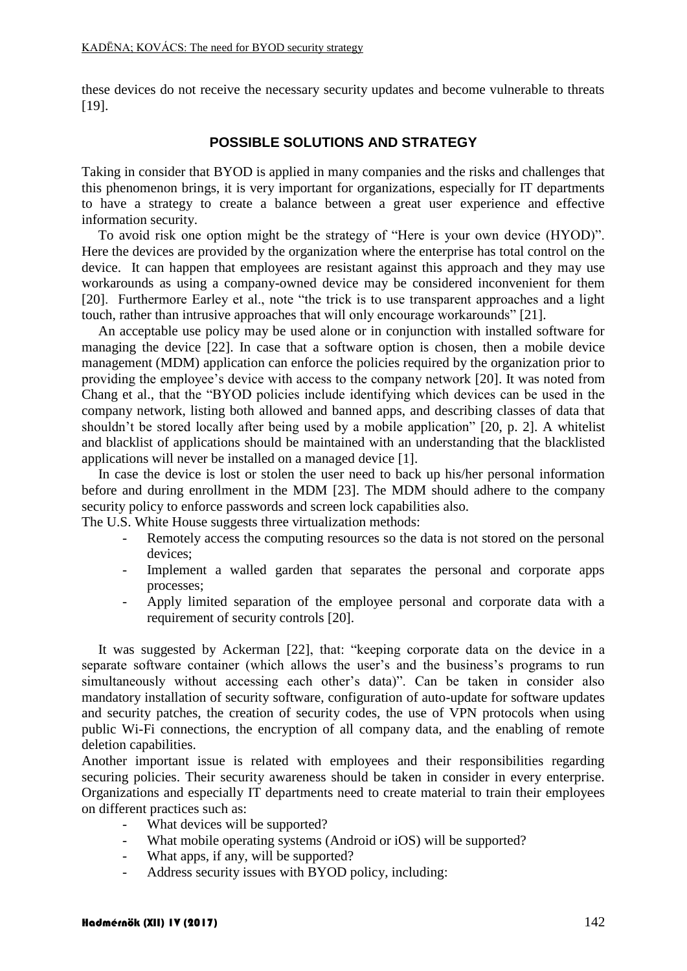these devices do not receive the necessary security updates and become vulnerable to threats [19].

# **POSSIBLE SOLUTIONS AND STRATEGY**

Taking in consider that BYOD is applied in many companies and the risks and challenges that this phenomenon brings, it is very important for organizations, especially for IT departments to have a strategy to create a balance between a great user experience and effective information security.

To avoid risk one option might be the strategy of "Here is your own device (HYOD)". Here the devices are provided by the organization where the enterprise has total control on the device. It can happen that employees are resistant against this approach and they may use workarounds as using a company-owned device may be considered inconvenient for them [20]. Furthermore Earley et al., note "the trick is to use transparent approaches and a light touch, rather than intrusive approaches that will only encourage workarounds" [21].

An acceptable use policy may be used alone or in conjunction with installed software for managing the device [22]. In case that a software option is chosen, then a mobile device management (MDM) application can enforce the policies required by the organization prior to providing the employee's device with access to the company network [20]. It was noted from Chang et al., that the "BYOD policies include identifying which devices can be used in the company network, listing both allowed and banned apps, and describing classes of data that shouldn't be stored locally after being used by a mobile application" [20, p. 2]. A whitelist and blacklist of applications should be maintained with an understanding that the blacklisted applications will never be installed on a managed device [1].

In case the device is lost or stolen the user need to back up his/her personal information before and during enrollment in the MDM [23]. The MDM should adhere to the company security policy to enforce passwords and screen lock capabilities also.

The U.S. White House suggests three virtualization methods:

- Remotely access the computing resources so the data is not stored on the personal devices;
- Implement a walled garden that separates the personal and corporate apps processes;
- Apply limited separation of the employee personal and corporate data with a requirement of security controls [20].

It was suggested by Ackerman [22], that: "keeping corporate data on the device in a separate software container (which allows the user's and the business's programs to run simultaneously without accessing each other's data)". Can be taken in consider also mandatory installation of security software, configuration of auto-update for software updates and security patches, the creation of security codes, the use of VPN protocols when using public Wi-Fi connections, the encryption of all company data, and the enabling of remote deletion capabilities.

Another important issue is related with employees and their responsibilities regarding securing policies. Their security awareness should be taken in consider in every enterprise. Organizations and especially IT departments need to create material to train their employees on different practices such as:

- What devices will be supported?
- What mobile operating systems (Android or iOS) will be supported?
- What apps, if any, will be supported?
- Address security issues with BYOD policy, including: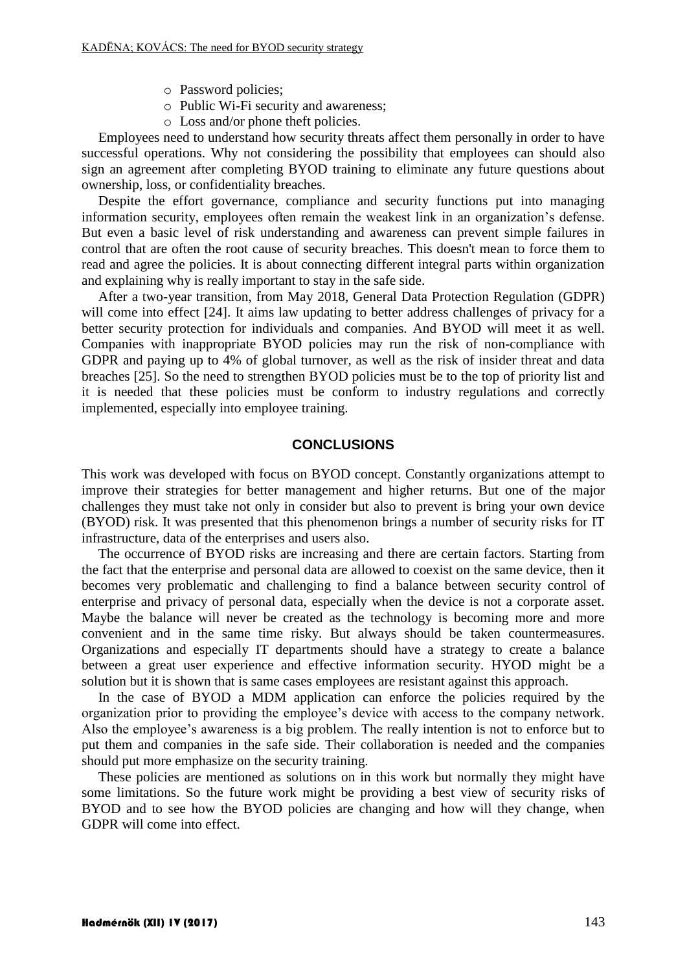- o Password policies;
- o Public Wi-Fi security and awareness;
- o Loss and/or phone theft policies.

Employees need to understand how security threats affect them personally in order to have successful operations. Why not considering the possibility that employees can should also sign an agreement after completing BYOD training to eliminate any future questions about ownership, loss, or confidentiality breaches.

Despite the effort governance, compliance and security functions put into managing information security, employees often remain the weakest link in an organization's defense. But even a basic level of risk understanding and awareness can prevent simple failures in control that are often the root cause of security breaches. This doesn't mean to force them to read and agree the policies. It is about connecting different integral parts within organization and explaining why is really important to stay in the safe side.

After a two-year transition, from May 2018, General Data Protection Regulation (GDPR) will come into effect [24]. It aims law updating to better address challenges of privacy for a better security protection for individuals and companies. And BYOD will meet it as well. Companies with inappropriate BYOD policies may run the risk of non-compliance with GDPR and paying up to 4% of global turnover, as well as the risk of insider threat and data breaches [25]. So the need to strengthen BYOD policies must be to the top of priority list and it is needed that these policies must be conform to industry regulations and correctly implemented, especially into employee training.

# **CONCLUSIONS**

This work was developed with focus on BYOD concept. Constantly organizations attempt to improve their strategies for better management and higher returns. But one of the major challenges they must take not only in consider but also to prevent is bring your own device (BYOD) risk. It was presented that this phenomenon brings a number of security risks for IT infrastructure, data of the enterprises and users also.

The occurrence of BYOD risks are increasing and there are certain factors. Starting from the fact that the enterprise and personal data are allowed to coexist on the same device, then it becomes very problematic and challenging to find a balance between security control of enterprise and privacy of personal data, especially when the device is not a corporate asset. Maybe the balance will never be created as the technology is becoming more and more convenient and in the same time risky. But always should be taken countermeasures. Organizations and especially IT departments should have a strategy to create a balance between a great user experience and effective information security. HYOD might be a solution but it is shown that is same cases employees are resistant against this approach.

In the case of BYOD a MDM application can enforce the policies required by the organization prior to providing the employee's device with access to the company network. Also the employee's awareness is a big problem. The really intention is not to enforce but to put them and companies in the safe side. Their collaboration is needed and the companies should put more emphasize on the security training.

These policies are mentioned as solutions on in this work but normally they might have some limitations. So the future work might be providing a best view of security risks of BYOD and to see how the BYOD policies are changing and how will they change, when GDPR will come into effect.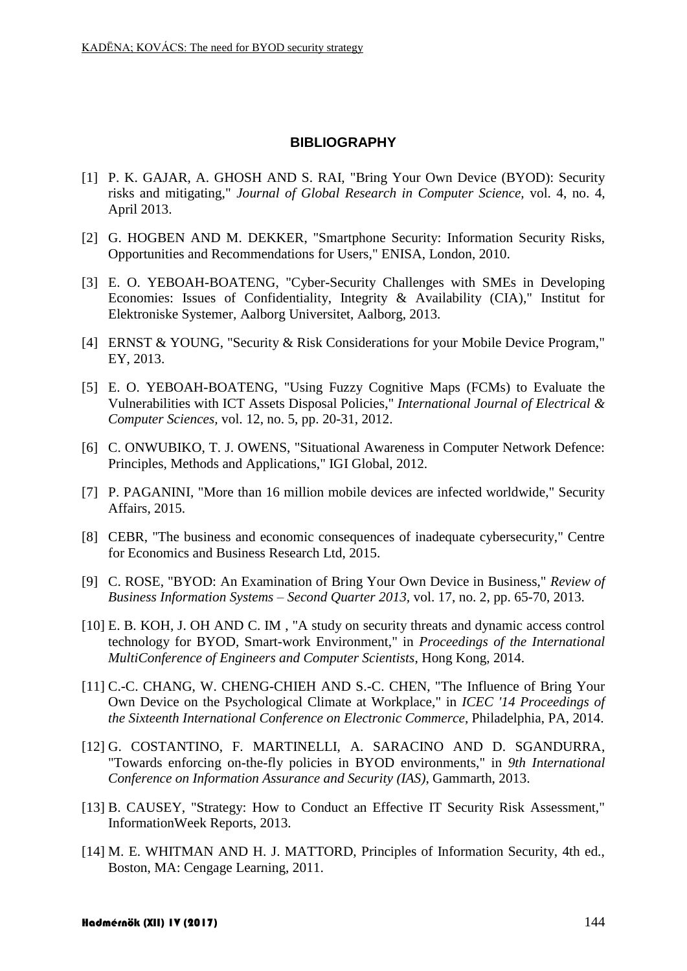# **BIBLIOGRAPHY**

- [1] P. K. GAJAR, A. GHOSH AND S. RAI, "Bring Your Own Device (BYOD): Security risks and mitigating," *Journal of Global Research in Computer Science,* vol. 4, no. 4, April 2013.
- [2] G. HOGBEN AND M. DEKKER, "Smartphone Security: Information Security Risks, Opportunities and Recommendations for Users," ENISA, London, 2010.
- [3] E. O. YEBOAH-BOATENG, "Cyber-Security Challenges with SMEs in Developing Economies: Issues of Confidentiality, Integrity & Availability (CIA)," Institut for Elektroniske Systemer, Aalborg Universitet, Aalborg, 2013.
- [4] ERNST & YOUNG, "Security & Risk Considerations for your Mobile Device Program," EY, 2013.
- [5] E. O. YEBOAH-BOATENG, "Using Fuzzy Cognitive Maps (FCMs) to Evaluate the Vulnerabilities with ICT Assets Disposal Policies," *International Journal of Electrical & Computer Sciences,* vol. 12, no. 5, pp. 20-31, 2012.
- [6] C. ONWUBIKO, T. J. OWENS, "Situational Awareness in Computer Network Defence: Principles, Methods and Applications," IGI Global, 2012.
- [7] P. PAGANINI, "More than 16 million mobile devices are infected worldwide," Security Affairs, 2015.
- [8] CEBR, "The business and economic consequences of inadequate cybersecurity," Centre for Economics and Business Research Ltd, 2015.
- [9] C. ROSE, "BYOD: An Examination of Bring Your Own Device in Business," *Review of Business Information Systems – Second Quarter 2013,* vol. 17, no. 2, pp. 65-70, 2013.
- [10] E. B. KOH, J. OH AND C. IM , "A study on security threats and dynamic access control technology for BYOD, Smart-work Environment," in *Proceedings of the International MultiConference of Engineers and Computer Scientists*, Hong Kong, 2014.
- [11] C.-C. CHANG, W. CHENG-CHIEH AND S.-C. CHEN, "The Influence of Bring Your Own Device on the Psychological Climate at Workplace," in *ICEC '14 Proceedings of the Sixteenth International Conference on Electronic Commerce*, Philadelphia, PA, 2014.
- [12] G. COSTANTINO, F. MARTINELLI, A. SARACINO AND D. SGANDURRA, "Towards enforcing on-the-fly policies in BYOD environments," in *9th International Conference on Information Assurance and Security (IAS)*, Gammarth, 2013.
- [13] B. CAUSEY, "Strategy: How to Conduct an Effective IT Security Risk Assessment," InformationWeek Reports, 2013.
- [14] M. E. WHITMAN AND H. J. MATTORD, Principles of Information Security, 4th ed., Boston, MA: Cengage Learning, 2011.